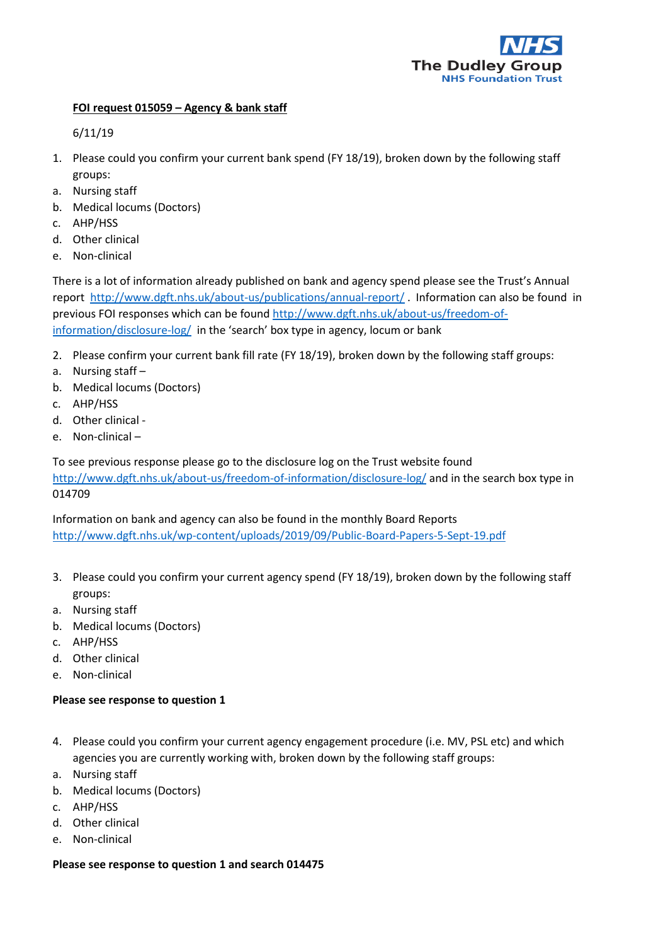

# **FOI request 015059 – Agency & bank staff**

6/11/19

- 1. Please could you confirm your current bank spend (FY 18/19), broken down by the following staff groups:
- a. Nursing staff
- b. Medical locums (Doctors)
- c. AHP/HSS
- d. Other clinical
- e. Non-clinical

There is a lot of information already published on bank and agency spend please see the Trust's Annual report <http://www.dgft.nhs.uk/about-us/publications/annual-report/> . Information can also be found in previous FOI responses which can be found [http://www.dgft.nhs.uk/about-us/freedom-of](http://www.dgft.nhs.uk/about-us/freedom-of-information/disclosure-log/)[information/disclosure-log/](http://www.dgft.nhs.uk/about-us/freedom-of-information/disclosure-log/) in the 'search' box type in agency, locum or bank

- 2. Please confirm your current bank fill rate (FY 18/19), broken down by the following staff groups:
- a. Nursing staff –
- b. Medical locums (Doctors)
- c. AHP/HSS
- d. Other clinical -
- e. Non-clinical –

To see previous response please go to the disclosure log on the Trust website found <http://www.dgft.nhs.uk/about-us/freedom-of-information/disclosure-log/> and in the search box type in 014709

Information on bank and agency can also be found in the monthly Board Reports <http://www.dgft.nhs.uk/wp-content/uploads/2019/09/Public-Board-Papers-5-Sept-19.pdf>

- 3. Please could you confirm your current agency spend (FY 18/19), broken down by the following staff groups:
- a. Nursing staff
- b. Medical locums (Doctors)
- c. AHP/HSS
- d. Other clinical
- e. Non-clinical

# **Please see response to question 1**

- 4. Please could you confirm your current agency engagement procedure (i.e. MV, PSL etc) and which agencies you are currently working with, broken down by the following staff groups:
- a. Nursing staff
- b. Medical locums (Doctors)
- c. AHP/HSS
- d. Other clinical
- e. Non-clinical

# **Please see response to question 1 and search 014475**